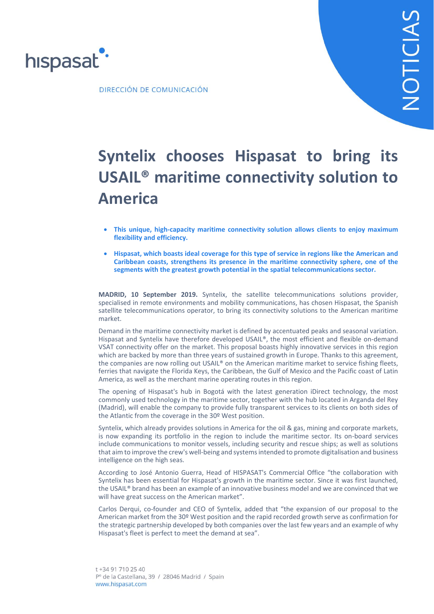

DIRECCIÓN DE COMUNICACIÓN

# **Syntelix chooses Hispasat to bring its USAIL® maritime connectivity solution to America**

- **This unique, high-capacity maritime connectivity solution allows clients to enjoy maximum flexibility and efficiency.**
- **Hispasat, which boasts ideal coverage for this type of service in regions like the American and Caribbean coasts, strengthens its presence in the maritime connectivity sphere, one of the segments with the greatest growth potential in the spatial telecommunications sector.**

**MADRID, 10 September 2019.** Syntelix, the satellite telecommunications solutions provider, specialised in remote environments and mobility communications, has chosen Hispasat, the Spanish satellite telecommunications operator, to bring its connectivity solutions to the American maritime market.

Demand in the maritime connectivity market is defined by accentuated peaks and seasonal variation. Hispasat and Syntelix have therefore developed USAIL®, the most efficient and flexible on-demand VSAT connectivity offer on the market. This proposal boasts highly innovative services in this region which are backed by more than three years of sustained growth in Europe. Thanks to this agreement, the companies are now rolling out USAIL® on the American maritime market to service fishing fleets, ferries that navigate the Florida Keys, the Caribbean, the Gulf of Mexico and the Pacific coast of Latin America, as well as the merchant marine operating routes in this region.

The opening of Hispasat's hub in Bogotá with the latest generation iDirect technology, the most commonly used technology in the maritime sector, together with the hub located in Arganda del Rey (Madrid), will enable the company to provide fully transparent services to its clients on both sides of the Atlantic from the coverage in the 30º West position.

Syntelix, which already provides solutions in America for the oil & gas, mining and corporate markets, is now expanding its portfolio in the region to include the maritime sector. Its on-board services include communications to monitor vessels, including security and rescue ships; as well as solutions that aim to improve the crew's well-being and systems intended to promote digitalisation and business intelligence on the high seas.

According to José Antonio Guerra, Head of HISPASAT's Commercial Office "the collaboration with Syntelix has been essential for Hispasat's growth in the maritime sector. Since it was first launched, the USAIL® brand has been an example of an innovative business model and we are convinced that we will have great success on the American market".

Carlos Derqui, co-founder and CEO of Syntelix, added that "the expansion of our proposal to the American market from the 30º West position and the rapid recorded growth serve as confirmation for the strategic partnership developed by both companies over the last few years and an example of why Hispasat's fleet is perfect to meet the demand at sea".